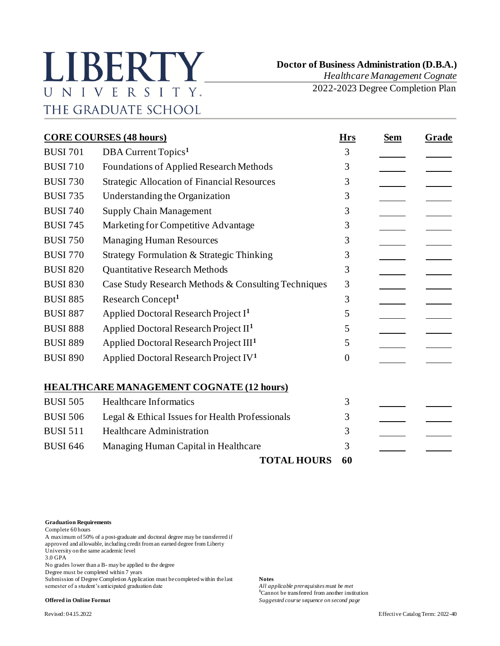## LIBERTY UNIVERSITY. THE GRADUATE SCHOOL

 **Doctor of Business Administration (D.B.A.)**

*Healthcare Management Cognate* 2022-2023 Degree Completion Plan

| <b>CORE COURSES (48 hours)</b> |                                                     |          | <b>Sem</b> | Grade |
|--------------------------------|-----------------------------------------------------|----------|------------|-------|
| <b>BUSI 701</b>                | DBA Current Topics <sup>1</sup>                     | 3        |            |       |
| <b>BUSI 710</b>                | Foundations of Applied Research Methods             | 3        |            |       |
| <b>BUSI 730</b>                | <b>Strategic Allocation of Financial Resources</b>  | 3        |            |       |
| <b>BUSI 735</b>                | Understanding the Organization                      | 3        |            |       |
| <b>BUSI 740</b>                | <b>Supply Chain Management</b>                      | 3        |            |       |
| <b>BUSI 745</b>                | Marketing for Competitive Advantage                 | 3        |            |       |
| <b>BUSI 750</b>                | <b>Managing Human Resources</b>                     | 3        |            |       |
| <b>BUSI 770</b>                | Strategy Formulation & Strategic Thinking           | 3        |            |       |
| <b>BUSI 820</b>                | <b>Quantitative Research Methods</b>                | 3        |            |       |
| <b>BUSI 830</b>                | Case Study Research Methods & Consulting Techniques | 3        |            |       |
| <b>BUSI 885</b>                | Research Concept <sup>1</sup>                       | 3        |            |       |
| <b>BUSI 887</b>                | Applied Doctoral Research Project I <sup>1</sup>    | 5        |            |       |
| <b>BUSI 888</b>                | Applied Doctoral Research Project II <sup>1</sup>   | 5        |            |       |
| <b>BUSI 889</b>                | Applied Doctoral Research Project III <sup>1</sup>  | 5        |            |       |
| <b>BUSI 890</b>                | Applied Doctoral Research Project IV <sup>1</sup>   | $\theta$ |            |       |
|                                | <b>HEALTHCARE MANAGEMENT COGNATE (12 hours)</b>     |          |            |       |
| <b>BUSI 505</b>                | <b>Healthcare Informatics</b>                       | 3        |            |       |
| <b>BUSI 506</b>                | Legal & Ethical Issues for Health Professionals     | 3        |            |       |
| <b>BUSI 511</b>                | <b>Healthcare Administration</b>                    | 3        |            |       |
| <b>BUSI 646</b>                | Managing Human Capital in Healthcare                | 3        |            |       |
|                                | <b>TOTAL HOURS</b>                                  | 60       |            |       |

**Graduation Requirements**

Complete 60 hours

A maximum of 50% of a post-graduate and doctoral degree may be transferred if approved and allowable, including credit from an earned degree from Liberty University on the same academic level 3.0 GPA

No grades lower than a B- may be applied to the degree

Degree must be completed within 7 years

Submission of Degree Completion Application must be completed within the last **Notes**<br>semester of a student's anticipated graduation date *All applicable prerequisites must be met* semester of a student's anticipated graduation date

**<sup>1</sup>**Cannot be transferred from another institution **Offered in Online Format** *Suggested course sequence on second page*